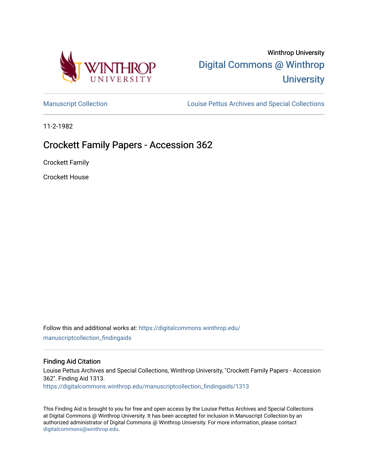

# Winthrop University [Digital Commons @ Winthrop](https://digitalcommons.winthrop.edu/)  **University**

[Manuscript Collection](https://digitalcommons.winthrop.edu/manuscriptcollection_findingaids) **Louise Pettus Archives and Special Collections** 

11-2-1982

# Crockett Family Papers - Accession 362

Crockett Family

Crockett House

Follow this and additional works at: [https://digitalcommons.winthrop.edu/](https://digitalcommons.winthrop.edu/manuscriptcollection_findingaids?utm_source=digitalcommons.winthrop.edu%2Fmanuscriptcollection_findingaids%2F1313&utm_medium=PDF&utm_campaign=PDFCoverPages) [manuscriptcollection\\_findingaids](https://digitalcommons.winthrop.edu/manuscriptcollection_findingaids?utm_source=digitalcommons.winthrop.edu%2Fmanuscriptcollection_findingaids%2F1313&utm_medium=PDF&utm_campaign=PDFCoverPages) 

#### Finding Aid Citation

Louise Pettus Archives and Special Collections, Winthrop University, "Crockett Family Papers - Accession 362". Finding Aid 1313.

[https://digitalcommons.winthrop.edu/manuscriptcollection\\_findingaids/1313](https://digitalcommons.winthrop.edu/manuscriptcollection_findingaids/1313?utm_source=digitalcommons.winthrop.edu%2Fmanuscriptcollection_findingaids%2F1313&utm_medium=PDF&utm_campaign=PDFCoverPages) 

This Finding Aid is brought to you for free and open access by the Louise Pettus Archives and Special Collections at Digital Commons @ Winthrop University. It has been accepted for inclusion in Manuscript Collection by an authorized administrator of Digital Commons @ Winthrop University. For more information, please contact [digitalcommons@winthrop.edu](mailto:digitalcommons@winthrop.edu).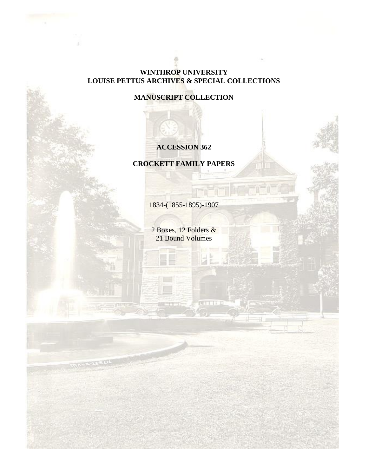## **WINTHROP UNIVERSITY LOUISE PETTUS ARCHIVES & SPECIAL COLLECTIONS**

**MANUSCRIPT COLLECTION**

## **ACCESSION 362**

**CROCKETT FAMILY PAPERS**

1834-(1855-1895)-1907

2 Boxes, 12 Folders & 21 Bound Volumes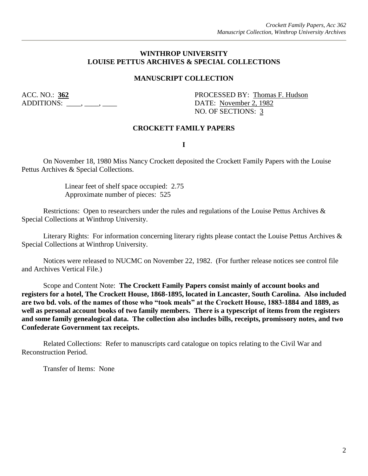#### **WINTHROP UNIVERSITY LOUISE PETTUS ARCHIVES & SPECIAL COLLECTIONS**

#### **MANUSCRIPT COLLECTION**

ADDITIONS:  $\qquad \qquad , \qquad \qquad , \qquad$ 

ACC. NO.: **362** PROCESSED BY: Thomas F. Hudson NO. OF SECTIONS: 3

#### **CROCKETT FAMILY PAPERS**

**I**

On November 18, 1980 Miss Nancy Crockett deposited the Crockett Family Papers with the Louise Pettus Archives & Special Collections.

> Linear feet of shelf space occupied: 2.75 Approximate number of pieces: 525

Restrictions: Open to researchers under the rules and regulations of the Louise Pettus Archives & Special Collections at Winthrop University.

Literary Rights: For information concerning literary rights please contact the Louise Pettus Archives & Special Collections at Winthrop University.

Notices were released to NUCMC on November 22, 1982. (For further release notices see control file and Archives Vertical File.)

Scope and Content Note: **The Crockett Family Papers consist mainly of account books and registers for a hotel, The Crockett House, 1868-1895, located in Lancaster, South Carolina. Also included are two bd. vols. of the names of those who "took meals" at the Crockett House, 1883-1884 and 1889, as well as personal account books of two family members. There is a typescript of items from the registers and some family genealogical data. The collection also includes bills, receipts, promissory notes, and two Confederate Government tax receipts.**

Related Collections: Refer to manuscripts card catalogue on topics relating to the Civil War and Reconstruction Period.

Transfer of Items: None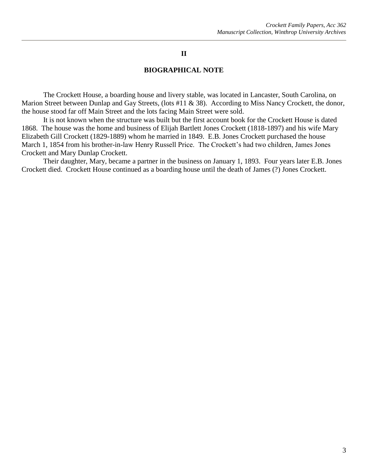#### **II**

#### **BIOGRAPHICAL NOTE**

The Crockett House, a boarding house and livery stable, was located in Lancaster, South Carolina, on Marion Street between Dunlap and Gay Streets, (lots #11 & 38). According to Miss Nancy Crockett, the donor, the house stood far off Main Street and the lots facing Main Street were sold.

It is not known when the structure was built but the first account book for the Crockett House is dated 1868. The house was the home and business of Elijah Bartlett Jones Crockett (1818-1897) and his wife Mary Elizabeth Gill Crockett (1829-1889) whom he married in 1849. E.B. Jones Crockett purchased the house March 1, 1854 from his brother-in-law Henry Russell Price. The Crockett's had two children, James Jones Crockett and Mary Dunlap Crockett.

Their daughter, Mary, became a partner in the business on January 1, 1893. Four years later E.B. Jones Crockett died. Crockett House continued as a boarding house until the death of James (?) Jones Crockett.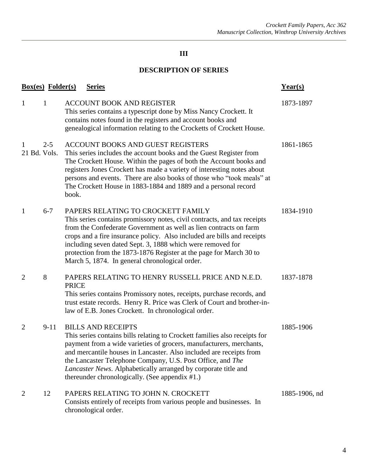## **III**

## **DESCRIPTION OF SERIES**

| <b>Box(es)</b> Folder(s) | Year(s)  |                                                                                                                                                                                                                                                                                                                                                                                                                                                      |               |
|--------------------------|----------|------------------------------------------------------------------------------------------------------------------------------------------------------------------------------------------------------------------------------------------------------------------------------------------------------------------------------------------------------------------------------------------------------------------------------------------------------|---------------|
| $\mathbf{1}$             | 1        | ACCOUNT BOOK AND REGISTER<br>This series contains a typescript done by Miss Nancy Crockett. It<br>contains notes found in the registers and account books and<br>genealogical information relating to the Crocketts of Crockett House.                                                                                                                                                                                                               | 1873-1897     |
| 1<br>21 Bd. Vols.        | $2 - 5$  | ACCOUNT BOOKS AND GUEST REGISTERS<br>This series includes the account books and the Guest Register from<br>The Crockett House. Within the pages of both the Account books and<br>registers Jones Crockett has made a variety of interesting notes about<br>persons and events. There are also books of those who "took meals" at<br>The Crockett House in 1883-1884 and 1889 and a personal record<br>book.                                          | 1861-1865     |
| 1                        | $6 - 7$  | PAPERS RELATING TO CROCKETT FAMILY<br>This series contains promissory notes, civil contracts, and tax receipts<br>from the Confederate Government as well as lien contracts on farm<br>crops and a fire insurance policy. Also included are bills and receipts<br>including seven dated Sept. 3, 1888 which were removed for<br>protection from the 1873-1876 Register at the page for March 30 to<br>March 5, 1874. In general chronological order. | 1834-1910     |
| $\overline{2}$           | 8        | PAPERS RELATING TO HENRY RUSSELL PRICE AND N.E.D.<br><b>PRICE</b><br>This series contains Promissory notes, receipts, purchase records, and<br>trust estate records. Henry R. Price was Clerk of Court and brother-in-<br>law of E.B. Jones Crockett. In chronological order.                                                                                                                                                                        | 1837-1878     |
| $\overline{2}$           | $9 - 11$ | <b>BILLS AND RECEIPTS</b><br>This series contains bills relating to Crockett families also receipts for<br>payment from a wide varieties of grocers, manufacturers, merchants,<br>and mercantile houses in Lancaster. Also included are receipts from<br>the Lancaster Telephone Company, U.S. Post Office, and The<br>Lancaster News. Alphabetically arranged by corporate title and<br>thereunder chronologically. (See appendix #1.)              | 1885-1906     |
| $\overline{2}$           | 12       | PAPERS RELATING TO JOHN N. CROCKETT<br>Consists entirely of receipts from various people and businesses. In<br>chronological order.                                                                                                                                                                                                                                                                                                                  | 1885-1906, nd |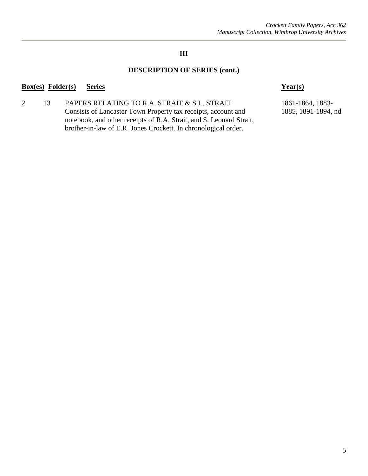## **III**

## **DESCRIPTION OF SERIES (cont.)**

#### **Box(es) Folder(s) Series Year(s)**

2 13 PAPERS RELATING TO R.A. STRAIT & S.L. STRAIT 1861-1864, 1883-Consists of Lancaster Town Property tax receipts, account and 1885, 1891-1894, nd notebook, and other receipts of R.A. Strait, and S. Leonard Strait, brother-in-law of E.R. Jones Crockett. In chronological order.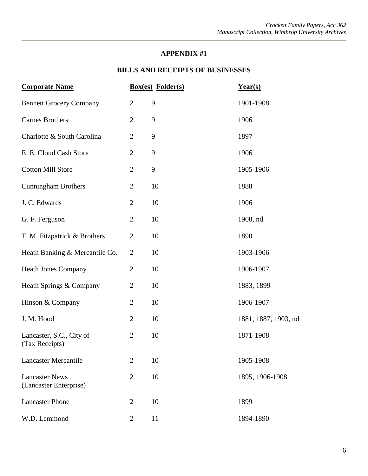#### **APPENDIX #1**

## **BILLS AND RECEIPTS OF BUSINESSES**

| <b>Corporate Name</b>                           |                | <b>Box(es)</b> Folder(s) | Year(s)              |
|-------------------------------------------------|----------------|--------------------------|----------------------|
| <b>Bennett Grocery Company</b>                  | $\mathbf{2}$   | 9                        | 1901-1908            |
| <b>Carnes Brothers</b>                          | $\overline{2}$ | 9                        | 1906                 |
| Charlotte & South Carolina                      | $\overline{2}$ | 9                        | 1897                 |
| E. E. Cloud Cash Store                          | $\overline{2}$ | 9                        | 1906                 |
| <b>Cotton Mill Store</b>                        | $\mathbf{2}$   | 9                        | 1905-1906            |
| <b>Cunningham Brothers</b>                      | $\overline{2}$ | 10                       | 1888                 |
| J. C. Edwards                                   | $\overline{2}$ | 10                       | 1906                 |
| G. F. Ferguson                                  | $\overline{2}$ | 10                       | 1908, nd             |
| T. M. Fitzpatrick & Brothers                    | $\overline{2}$ | 10                       | 1890                 |
| Heath Banking & Mercantile Co.                  | $\overline{2}$ | 10                       | 1903-1906            |
| <b>Heath Jones Company</b>                      | $\mathbf{2}$   | 10                       | 1906-1907            |
| Heath Springs & Company                         | $\overline{2}$ | 10                       | 1883, 1899           |
| Hinson & Company                                | $\overline{2}$ | 10                       | 1906-1907            |
| J. M. Hood                                      | $\overline{2}$ | 10                       | 1881, 1887, 1903, nd |
| Lancaster, S.C., City of<br>(Tax Receipts)      | $\overline{2}$ | 10                       | 1871-1908            |
| <b>Lancaster Mercantile</b>                     | $\overline{2}$ | 10                       | 1905-1908            |
| <b>Lancaster News</b><br>(Lancaster Enterprise) | $\overline{2}$ | 10                       | 1895, 1906-1908      |
| <b>Lancaster Phone</b>                          | $\overline{2}$ | 10                       | 1899                 |
| W.D. Lemmond                                    | $\overline{2}$ | 11                       | 1894-1890            |